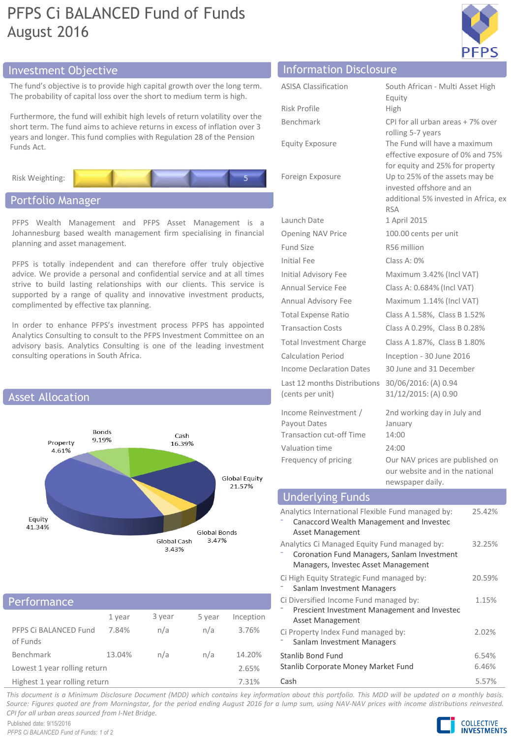# PFPS Ci BALANCED Fund of Funds August 2016



# Investment Objective **Information Disclosure Information** Disclosure

planning and asset management.

The fund's objective is to provide high capital growth over the long term. The probability of capital loss over the short to medium term is high.

Furthermore, the fund will exhibit high levels of return volatility over the short term. The fund aims to achieve returns in excess of inflation over 3 years and longer. This fund complies with Regulation 28 of the Pension Funds Act.

Risk Weighting:

# Portfolio Manager

# PFPS Wealth Management and PFPS Asset Management is a Johannesburg based wealth management firm specialising in financial

PFPS is totally independent and can therefore offer truly objective advice. We provide a personal and confidential service and at all times strive to build lasting relationships with our clients. This service is supported by a range of quality and innovative investment products, complimented by effective tax planning.

In order to enhance PFPS's investment process PFPS has appointed Analytics Consulting to consult to the PFPS Investment Committee on an advisory basis. Analytics Consulting is one of the leading investment consulting operations in South Africa.



# 1 year 3 year 5 year Inception PFPS Ci BALANCED Fund of Funds 7.84% n/a n/a 3.76% Benchmark 13.04% n/a n/a 14.20% Lowest 1 year rolling return 2.65% Performance

Highest 1 year rolling return 7.31%

| Information Disclosure      |                                                        |
|-----------------------------|--------------------------------------------------------|
| <b>ASISA Classification</b> | South African - Multi Asset High<br>Equity             |
| Risk Profile                | <b>High</b>                                            |
| Benchmark                   | CPI for all urban areas + 7% over<br>rolling 5-7 years |

Launch Date 1 April 2015

Fund Size R56 million Initial Fee Class A: 0%

Last 12 months Distributions (cents per unit)

Income Reinvestment / Payout Dates Transaction cut-off Time 14:00 Valuation time 24:00

rolling 5-7 years Equity Exposure The Fund will have a maximum effective exposure of 0% and 75% for equity and 25% for property Foreign Exposure Up to 25% of the assets may be invested offshore and an additional 5% invested in Africa, ex RSA Opening NAV Price 100.00 cents per unit Initial Advisory Fee Maximum 3.42% (Incl VAT) Annual Service Fee Class A: 0.684% (Incl VAT) Annual Advisory Fee Maximum 1.14% (Incl VAT) Total Expense Ratio Class A 1.58%, Class B 1.52% Transaction Costs Class A 0.29%, Class B 0.28% Total Investment Charge Class A 1.87%, Class B 1.80% Calculation Period Inception - 30 June 2016 Income Declaration Dates 30 June and 31 December 30/06/2016: (A) 0.94 31/12/2015: (A) 0.90 2nd working day in July and January

Frequency of pricing Our NAV prices are published on our website and in the national newspaper daily.

# Underlying Funds

| Analytics International Flexible Fund managed by:<br>Canaccord Wealth Management and Investec<br>Asset Management                  | 25.42%         |
|------------------------------------------------------------------------------------------------------------------------------------|----------------|
| Analytics Ci Managed Equity Fund managed by:<br>Coronation Fund Managers, Sanlam Investment<br>Managers, Investec Asset Management | 32.25%         |
| Ci High Equity Strategic Fund managed by:<br>Sanlam Investment Managers                                                            | 20.59%         |
| Ci Diversified Income Fund managed by:<br>Prescient Investment Management and Investec<br><b>Asset Management</b>                  | 1.15%          |
| Ci Property Index Fund managed by:<br>Sanlam Investment Managers                                                                   | 2.02%          |
| Stanlib Bond Fund<br>Stanlib Corporate Money Market Fund                                                                           | 6.54%<br>6.46% |
| Cash                                                                                                                               | 5.57%          |

This document is a Minimum Disclosure Document (MDD) which contains key information about this portfolio. This MDD will be updated on a monthly basis. Source: Figures quoted are from Morningstar, for the period ending August 2016 for a lump sum, using NAV-NAV prices with income distributions reinvested. *CPI for all urban areas sourced from I-Net Bridge.*

Published date: 9/15/2016 *PFPS Ci BALANCED Fund of Funds: 1 of 2*